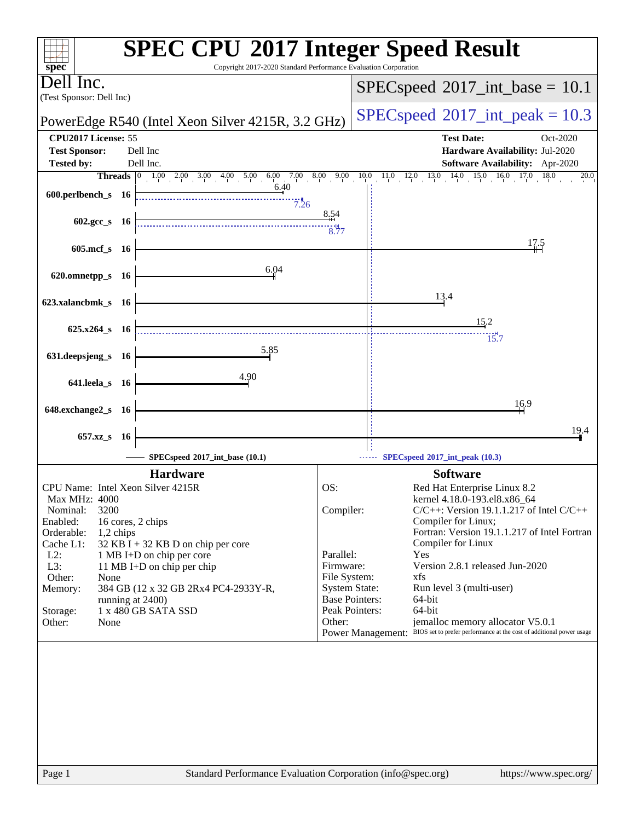| $spec^*$                                                 | <b>SPEC CPU®2017 Integer Speed Result</b><br>Copyright 2017-2020 Standard Performance Evaluation Corporation       |
|----------------------------------------------------------|--------------------------------------------------------------------------------------------------------------------|
| Dell Inc.<br>(Test Sponsor: Dell Inc)                    | $SPEC speed^{\circ}2017\_int\_base = 10.1$                                                                         |
| PowerEdge R540 (Intel Xeon Silver 4215R, 3.2 GHz)        | $SPEC speed^{\circ}2017\_int\_peak = 10.3$                                                                         |
| CPU2017 License: 55                                      | <b>Test Date:</b><br>Oct-2020                                                                                      |
| <b>Test Sponsor:</b><br>Dell Inc                         | Hardware Availability: Jul-2020                                                                                    |
| Dell Inc.<br><b>Tested by:</b>                           | Software Availability: Apr-2020                                                                                    |
| 6.40                                                     | <b>Threads</b> 0 1.00 2.00 3.00 4.00 5.00 6.00 7.00 8.00 9.00 10.0 11.0 12.0 13.0 14.0 15.0 16.0 17.0 18.0<br>20.0 |
| 600.perlbench_s 16<br>7.26                               |                                                                                                                    |
|                                                          | 8.54                                                                                                               |
| $602 \text{.} \text{gcc s}$ 16                           | 3.77                                                                                                               |
|                                                          | <u>17.5</u>                                                                                                        |
| 605.mcf_s 16                                             |                                                                                                                    |
| 6.04<br>620.omnetpp_s 16                                 |                                                                                                                    |
|                                                          |                                                                                                                    |
| 623.xalancbmk_s 16                                       | 13.4                                                                                                               |
|                                                          |                                                                                                                    |
| $625.x264_s$ 16                                          | 15.2                                                                                                               |
|                                                          | $\overline{15.7}$                                                                                                  |
| 5.85<br>631.deepsjeng_s 16                               |                                                                                                                    |
| 4.90                                                     |                                                                                                                    |
| 641.leela_s 16                                           |                                                                                                                    |
|                                                          | 16.9                                                                                                               |
| 648.exchange2_s 16                                       |                                                                                                                    |
| 657.xz_s 16                                              | 19.4                                                                                                               |
| SPECspeed®2017_int_base (10.1)                           | SPECspeed®2017_int_peak (10.3)                                                                                     |
| <b>Hardware</b>                                          | <b>Software</b>                                                                                                    |
| CPU Name: Intel Xeon Silver 4215R                        | OS:<br>Red Hat Enterprise Linux 8.2                                                                                |
| Max MHz: 4000                                            | kernel 4.18.0-193.el8.x86_64                                                                                       |
| 3200<br>Nominal:                                         | Compiler:<br>$C/C++$ : Version 19.1.1.217 of Intel $C/C++$<br>Compiler for Linux;                                  |
| Enabled:<br>16 cores, 2 chips<br>Orderable:<br>1,2 chips | Fortran: Version 19.1.1.217 of Intel Fortran                                                                       |
| Cache L1:<br>32 KB I + 32 KB D on chip per core          | Compiler for Linux                                                                                                 |
| $L2$ :<br>1 MB I+D on chip per core                      | Parallel:<br>Yes                                                                                                   |
| L3:<br>11 MB I+D on chip per chip<br>Other:<br>None      | Version 2.8.1 released Jun-2020<br>Firmware:<br>File System:<br>xfs                                                |
| 384 GB (12 x 32 GB 2Rx4 PC4-2933Y-R,<br>Memory:          | <b>System State:</b><br>Run level 3 (multi-user)                                                                   |
| running at 2400)                                         | <b>Base Pointers:</b><br>64-bit                                                                                    |
| 1 x 480 GB SATA SSD<br>Storage:                          | 64-bit<br>Peak Pointers:<br>jemalloc memory allocator V5.0.1<br>Other:                                             |
| Other:<br>None                                           | Power Management: BIOS set to prefer performance at the cost of additional power usage                             |
|                                                          |                                                                                                                    |
|                                                          |                                                                                                                    |
|                                                          |                                                                                                                    |
|                                                          |                                                                                                                    |
|                                                          |                                                                                                                    |
|                                                          |                                                                                                                    |
|                                                          |                                                                                                                    |
|                                                          |                                                                                                                    |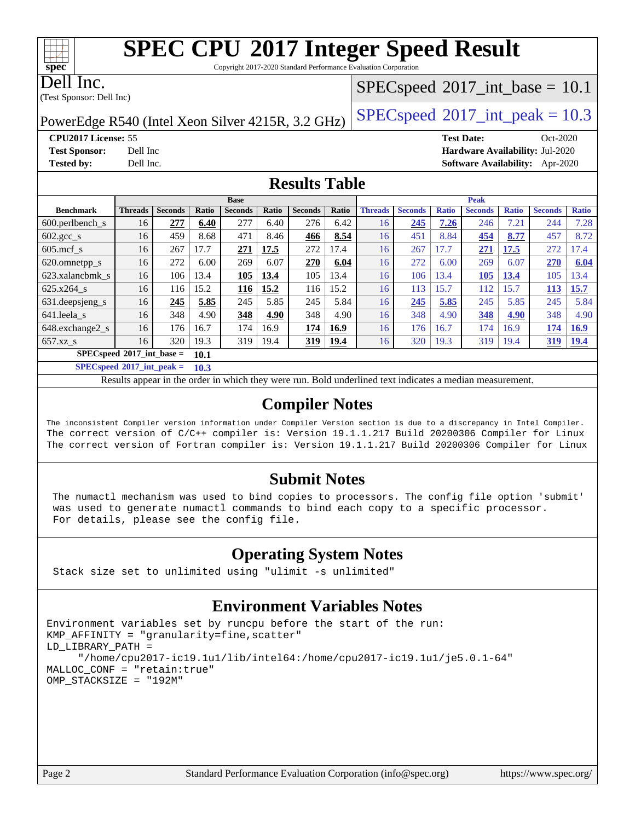Copyright 2017-2020 Standard Performance Evaluation Corporation

Dell Inc.

**[spec](http://www.spec.org/)**

(Test Sponsor: Dell Inc)

### $SPECspeed^{\circledast}2017\_int\_base = 10.1$  $SPECspeed^{\circledast}2017\_int\_base = 10.1$

PowerEdge R540 (Intel Xeon Silver 4215R, 3.2 GHz) [SPECspeed](http://www.spec.org/auto/cpu2017/Docs/result-fields.html#SPECspeed2017intpeak)<sup>®</sup>[2017\\_int\\_peak = 1](http://www.spec.org/auto/cpu2017/Docs/result-fields.html#SPECspeed2017intpeak)0.3

**[CPU2017 License:](http://www.spec.org/auto/cpu2017/Docs/result-fields.html#CPU2017License)** 55 **[Test Date:](http://www.spec.org/auto/cpu2017/Docs/result-fields.html#TestDate)** Oct-2020 **[Test Sponsor:](http://www.spec.org/auto/cpu2017/Docs/result-fields.html#TestSponsor)** Dell Inc **[Hardware Availability:](http://www.spec.org/auto/cpu2017/Docs/result-fields.html#HardwareAvailability)** Jul-2020 **[Tested by:](http://www.spec.org/auto/cpu2017/Docs/result-fields.html#Testedby)** Dell Inc. **[Software Availability:](http://www.spec.org/auto/cpu2017/Docs/result-fields.html#SoftwareAvailability)** Apr-2020

### **[Results Table](http://www.spec.org/auto/cpu2017/Docs/result-fields.html#ResultsTable)**

|                                       | <b>Base</b>    |                |       |                | <b>Peak</b> |                |       |                |                |              |                |              |                |              |
|---------------------------------------|----------------|----------------|-------|----------------|-------------|----------------|-------|----------------|----------------|--------------|----------------|--------------|----------------|--------------|
| <b>Benchmark</b>                      | <b>Threads</b> | <b>Seconds</b> | Ratio | <b>Seconds</b> | Ratio       | <b>Seconds</b> | Ratio | <b>Threads</b> | <b>Seconds</b> | <b>Ratio</b> | <b>Seconds</b> | <b>Ratio</b> | <b>Seconds</b> | <b>Ratio</b> |
| 600.perlbench s                       | 16             | 277            | 6.40  | 277            | 6.40        | 276            | 6.42  | 16             | 245            | 7.26         | 246            | 7.21         | 244            | 7.28         |
| $602 \text{.} \text{gcc}\text{_<}$ s  | 16             | 459            | 8.68  | 471            | 8.46        | 466            | 8.54  | 16             | 451            | 8.84         | 454            | 8.77         | 457            | 8.72         |
| $605$ .mcf s                          | 16             | 267            | 17.7  | 271            | 17.5        | 272            | 17.4  | 16             | 267            | 17.7         | 271            | 17.5         | 272            | 17.4         |
| 620.omnetpp_s                         | 16             | 272            | 6.00  | 269            | 6.07        | 270            | 6.04  | 16             | 272            | 6.00         | 269            | 6.07         | 270            | 6.04         |
| 623.xalancbmk s                       | 16             | 106            | 13.4  | 105            | 13.4        | 105            | 13.4  | 16             | 106            | 13.4         | 105            | 13.4         | 105            | 13.4         |
| 625.x264 s                            | 16             | 116            | 15.2  | 116            | 15.2        | 116            | 15.2  | 16             | 113            | 15.7         | 112            | 15.7         | <b>113</b>     | 15.7         |
| 631.deepsjeng_s                       | 16             | 245            | 5.85  | 245            | 5.85        | 245            | 5.84  | 16             | 245            | 5.85         | 245            | 5.85         | 245            | 5.84         |
| 641.leela s                           | 16             | 348            | 4.90  | 348            | 4.90        | 348            | 4.90  | 16             | 348            | 4.90         | 348            | 4.90         | 348            | 4.90         |
| 648.exchange2_s                       | 16             | 176            | 16.7  | 174            | 16.9        | 174            | 16.9  | 16             | 176            | 16.7         | 174            | 16.9         | 174            | 16.9         |
| $657.xz$ s                            | 16             | 320            | 19.3  | 319            | 19.4        | 319            | 19.4  | 16             | 320            | 19.3         | 319            | 19.4         | 319            | 19.4         |
| $SPECspeed*2017\_int\_base =$<br>10.1 |                |                |       |                |             |                |       |                |                |              |                |              |                |              |

**[SPECspeed](http://www.spec.org/auto/cpu2017/Docs/result-fields.html#SPECspeed2017intpeak)[2017\\_int\\_peak =](http://www.spec.org/auto/cpu2017/Docs/result-fields.html#SPECspeed2017intpeak) 10.3**

Results appear in the [order in which they were run.](http://www.spec.org/auto/cpu2017/Docs/result-fields.html#RunOrder) Bold underlined text [indicates a median measurement](http://www.spec.org/auto/cpu2017/Docs/result-fields.html#Median).

### **[Compiler Notes](http://www.spec.org/auto/cpu2017/Docs/result-fields.html#CompilerNotes)**

The inconsistent Compiler version information under Compiler Version section is due to a discrepancy in Intel Compiler. The correct version of C/C++ compiler is: Version 19.1.1.217 Build 20200306 Compiler for Linux The correct version of Fortran compiler is: Version 19.1.1.217 Build 20200306 Compiler for Linux

#### **[Submit Notes](http://www.spec.org/auto/cpu2017/Docs/result-fields.html#SubmitNotes)**

 The numactl mechanism was used to bind copies to processors. The config file option 'submit' was used to generate numactl commands to bind each copy to a specific processor. For details, please see the config file.

### **[Operating System Notes](http://www.spec.org/auto/cpu2017/Docs/result-fields.html#OperatingSystemNotes)**

Stack size set to unlimited using "ulimit -s unlimited"

## **[Environment Variables Notes](http://www.spec.org/auto/cpu2017/Docs/result-fields.html#EnvironmentVariablesNotes)**

```
Environment variables set by runcpu before the start of the run:
KMP_AFFINITY = "granularity=fine,scatter"
LD_LIBRARY_PATH =
      "/home/cpu2017-ic19.1u1/lib/intel64:/home/cpu2017-ic19.1u1/je5.0.1-64"
MALLOC_CONF = "retain:true"
OMP_STACKSIZE = "192M"
```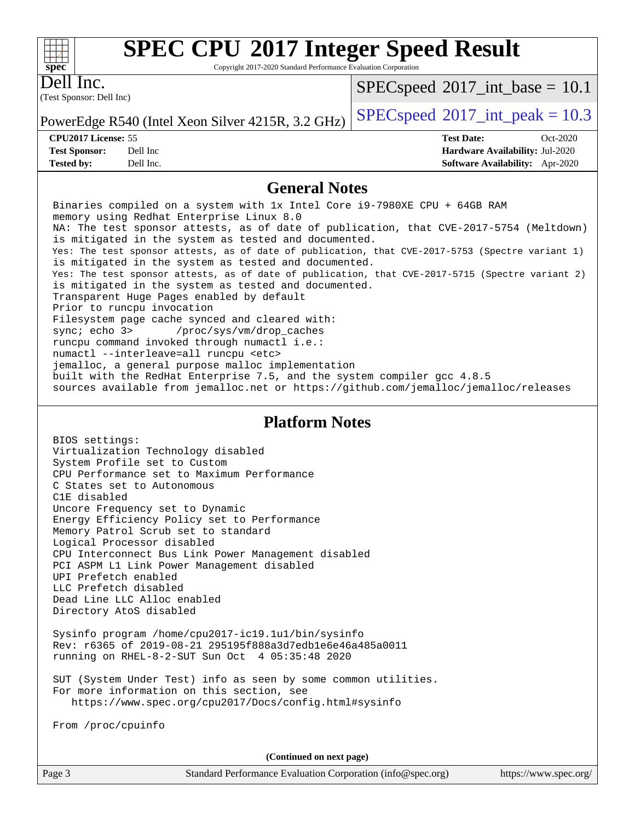Copyright 2017-2020 Standard Performance Evaluation Corporation

(Test Sponsor: Dell Inc) Dell Inc.

**[spec](http://www.spec.org/)**

 $+\!\!+\!\!$ 

 $SPECspeed^{\circ}2017\_int\_base = 10.1$  $SPECspeed^{\circ}2017\_int\_base = 10.1$ 

**[Tested by:](http://www.spec.org/auto/cpu2017/Docs/result-fields.html#Testedby)** Dell Inc. **[Software Availability:](http://www.spec.org/auto/cpu2017/Docs/result-fields.html#SoftwareAvailability)** Apr-2020

PowerEdge R540 (Intel Xeon Silver 4215R, 3.2 GHz) [SPECspeed](http://www.spec.org/auto/cpu2017/Docs/result-fields.html#SPECspeed2017intpeak)<sup>®</sup>[2017\\_int\\_peak = 1](http://www.spec.org/auto/cpu2017/Docs/result-fields.html#SPECspeed2017intpeak)0.3

**[CPU2017 License:](http://www.spec.org/auto/cpu2017/Docs/result-fields.html#CPU2017License)** 55 **[Test Date:](http://www.spec.org/auto/cpu2017/Docs/result-fields.html#TestDate)** Oct-2020 **[Test Sponsor:](http://www.spec.org/auto/cpu2017/Docs/result-fields.html#TestSponsor)** Dell Inc **[Hardware Availability:](http://www.spec.org/auto/cpu2017/Docs/result-fields.html#HardwareAvailability)** Jul-2020

#### **[General Notes](http://www.spec.org/auto/cpu2017/Docs/result-fields.html#GeneralNotes)**

 Binaries compiled on a system with 1x Intel Core i9-7980XE CPU + 64GB RAM memory using Redhat Enterprise Linux 8.0 NA: The test sponsor attests, as of date of publication, that CVE-2017-5754 (Meltdown) is mitigated in the system as tested and documented. Yes: The test sponsor attests, as of date of publication, that CVE-2017-5753 (Spectre variant 1) is mitigated in the system as tested and documented. Yes: The test sponsor attests, as of date of publication, that CVE-2017-5715 (Spectre variant 2) is mitigated in the system as tested and documented. Transparent Huge Pages enabled by default Prior to runcpu invocation Filesystem page cache synced and cleared with: sync; echo 3> /proc/sys/vm/drop\_caches runcpu command invoked through numactl i.e.: numactl --interleave=all runcpu <etc> jemalloc, a general purpose malloc implementation built with the RedHat Enterprise 7.5, and the system compiler gcc 4.8.5 sources available from jemalloc.net or<https://github.com/jemalloc/jemalloc/releases> **[Platform Notes](http://www.spec.org/auto/cpu2017/Docs/result-fields.html#PlatformNotes)** BIOS settings: Virtualization Technology disabled System Profile set to Custom CPU Performance set to Maximum Performance C States set to Autonomous C1E disabled Uncore Frequency set to Dynamic Energy Efficiency Policy set to Performance Memory Patrol Scrub set to standard Logical Processor disabled CPU Interconnect Bus Link Power Management disabled PCI ASPM L1 Link Power Management disabled UPI Prefetch enabled LLC Prefetch disabled

 Dead Line LLC Alloc enabled Directory AtoS disabled

 Sysinfo program /home/cpu2017-ic19.1u1/bin/sysinfo Rev: r6365 of 2019-08-21 295195f888a3d7edb1e6e46a485a0011 running on RHEL-8-2-SUT Sun Oct 4 05:35:48 2020

 SUT (System Under Test) info as seen by some common utilities. For more information on this section, see <https://www.spec.org/cpu2017/Docs/config.html#sysinfo>

From /proc/cpuinfo

**(Continued on next page)**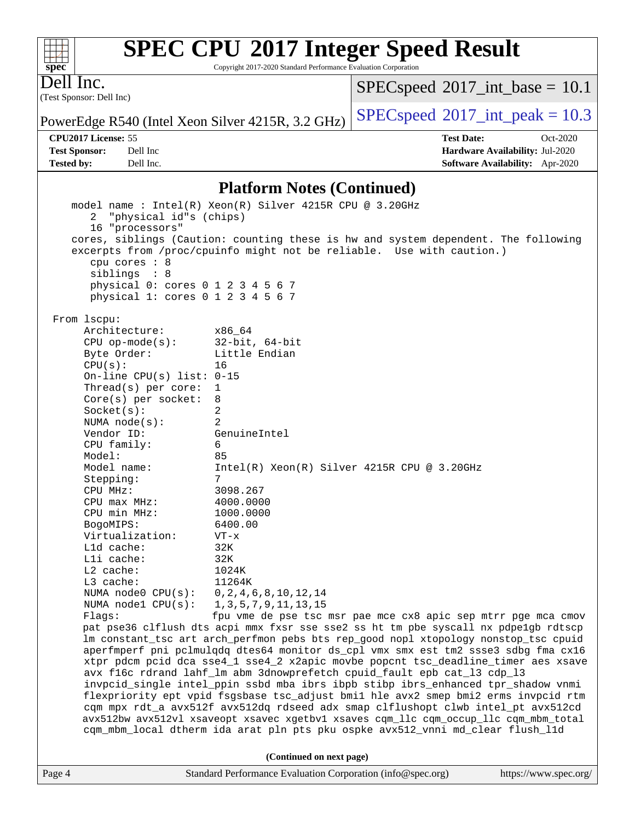Copyright 2017-2020 Standard Performance Evaluation Corporation

(Test Sponsor: Dell Inc) Dell Inc.

 $SPECspeed*2017\_int\_base = 10.1$  $SPECspeed*2017\_int\_base = 10.1$ 

PowerEdge R540 (Intel Xeon Silver 4215R, 3.2 GHz) [SPECspeed](http://www.spec.org/auto/cpu2017/Docs/result-fields.html#SPECspeed2017intpeak)<sup>®</sup>[2017\\_int\\_peak = 1](http://www.spec.org/auto/cpu2017/Docs/result-fields.html#SPECspeed2017intpeak)0.3

**[Tested by:](http://www.spec.org/auto/cpu2017/Docs/result-fields.html#Testedby)** Dell Inc. **[Software Availability:](http://www.spec.org/auto/cpu2017/Docs/result-fields.html#SoftwareAvailability)** Apr-2020

**[CPU2017 License:](http://www.spec.org/auto/cpu2017/Docs/result-fields.html#CPU2017License)** 55 **[Test Date:](http://www.spec.org/auto/cpu2017/Docs/result-fields.html#TestDate)** Oct-2020 **[Test Sponsor:](http://www.spec.org/auto/cpu2017/Docs/result-fields.html#TestSponsor)** Dell Inc **[Hardware Availability:](http://www.spec.org/auto/cpu2017/Docs/result-fields.html#HardwareAvailability)** Jul-2020

#### **[Platform Notes \(Continued\)](http://www.spec.org/auto/cpu2017/Docs/result-fields.html#PlatformNotes)**

|                                                                                        | (Continued on next page)                                                                                                                                               |
|----------------------------------------------------------------------------------------|------------------------------------------------------------------------------------------------------------------------------------------------------------------------|
|                                                                                        | cqm_mbm_local dtherm ida arat pln pts pku ospke avx512_vnni md_clear flush_l1d                                                                                         |
|                                                                                        | avx512bw avx512vl xsaveopt xsavec xgetbv1 xsaves cqm_llc cqm_occup_llc cqm_mbm_total                                                                                   |
|                                                                                        | flexpriority ept vpid fsgsbase tsc_adjust bmil hle avx2 smep bmi2 erms invpcid rtm<br>cqm mpx rdt_a avx512f avx512dq rdseed adx smap clflushopt clwb intel_pt avx512cd |
|                                                                                        | invpcid_single intel_ppin ssbd mba ibrs ibpb stibp ibrs_enhanced tpr_shadow vnmi                                                                                       |
|                                                                                        | avx f16c rdrand lahf_lm abm 3dnowprefetch cpuid_fault epb cat_13 cdp_13                                                                                                |
|                                                                                        | xtpr pdcm pcid dca sse4_1 sse4_2 x2apic movbe popcnt tsc_deadline_timer aes xsave                                                                                      |
|                                                                                        | aperfmperf pni pclmulqdq dtes64 monitor ds_cpl vmx smx est tm2 ssse3 sdbg fma cx16                                                                                     |
|                                                                                        | lm constant_tsc art arch_perfmon pebs bts rep_good nopl xtopology nonstop_tsc cpuid                                                                                    |
|                                                                                        | pat pse36 clflush dts acpi mmx fxsr sse sse2 ss ht tm pbe syscall nx pdpelgb rdtscp                                                                                    |
| Flaqs:                                                                                 | fpu vme de pse tsc msr pae mce cx8 apic sep mtrr pge mca cmov                                                                                                          |
| NUMA $node1$ $CPU(s):$                                                                 | 1, 3, 5, 7, 9, 11, 13, 15                                                                                                                                              |
| NUMA node0 CPU(s): 0,2,4,6,8,10,12,14                                                  |                                                                                                                                                                        |
| L3 cache:                                                                              | 11264K                                                                                                                                                                 |
| $L2$ cache:                                                                            | 1024K                                                                                                                                                                  |
| Lli cache:                                                                             | 32K                                                                                                                                                                    |
| L1d cache:                                                                             | 32K                                                                                                                                                                    |
| Virtualization:                                                                        | $VT - x$                                                                                                                                                               |
| BogoMIPS:                                                                              | 6400.00                                                                                                                                                                |
| CPU min MHz:                                                                           | 1000.0000                                                                                                                                                              |
| CPU max MHz:                                                                           | 4000.0000                                                                                                                                                              |
| CPU MHz:                                                                               | 3098.267                                                                                                                                                               |
| Stepping:                                                                              | 7                                                                                                                                                                      |
| Model name:                                                                            | $Intel(R) Xeon(R) Silver 4215R CPU @ 3.20GHz$                                                                                                                          |
| Model:                                                                                 | 85                                                                                                                                                                     |
| CPU family:                                                                            | 6                                                                                                                                                                      |
| Vendor ID:                                                                             | GenuineIntel                                                                                                                                                           |
| NUMA $node(s):$                                                                        | 2                                                                                                                                                                      |
| Socket(s):                                                                             | 2                                                                                                                                                                      |
| $Core(s)$ per socket:                                                                  | 8                                                                                                                                                                      |
| Thread( $s$ ) per core:                                                                | 1                                                                                                                                                                      |
| On-line CPU(s) list: $0-15$                                                            |                                                                                                                                                                        |
| CPU(s):                                                                                | 16                                                                                                                                                                     |
| Byte Order:                                                                            | Little Endian                                                                                                                                                          |
| $CPU$ op-mode( $s$ ):                                                                  | $32$ -bit, $64$ -bit                                                                                                                                                   |
| Architecture:                                                                          | x86_64                                                                                                                                                                 |
| From lscpu:                                                                            |                                                                                                                                                                        |
| siblings : 8<br>physical 0: cores 0 1 2 3 4 5 6 7<br>physical 1: cores 0 1 2 3 4 5 6 7 |                                                                                                                                                                        |
| cpu cores : 8                                                                          |                                                                                                                                                                        |
|                                                                                        | excerpts from /proc/cpuinfo might not be reliable. Use with caution.)                                                                                                  |
|                                                                                        | cores, siblings (Caution: counting these is hw and system dependent. The following                                                                                     |
| 16 "processors"                                                                        |                                                                                                                                                                        |
| "physical id"s (chips)<br>2                                                            |                                                                                                                                                                        |
| model name : Intel(R) Xeon(R) Silver 4215R CPU @ 3.20GHz                               |                                                                                                                                                                        |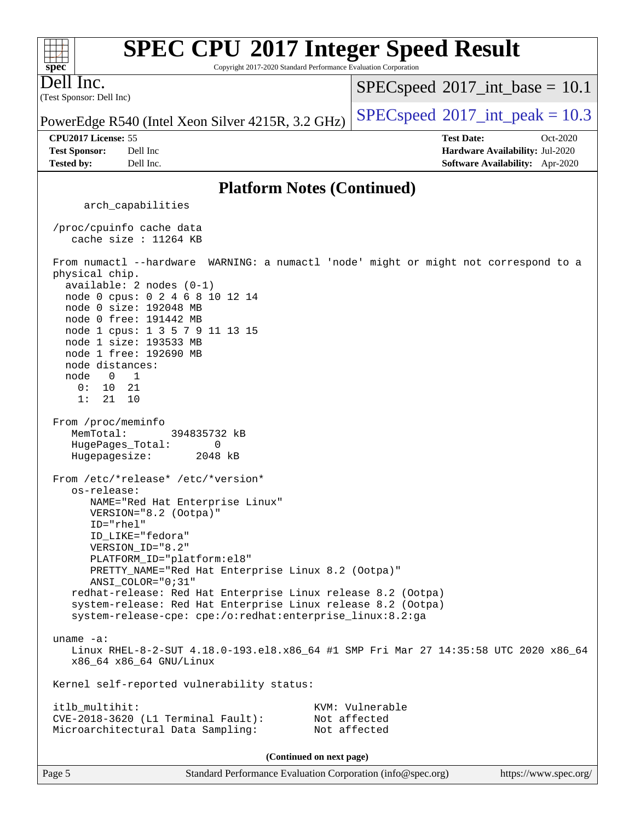#### **[SPEC CPU](http://www.spec.org/auto/cpu2017/Docs/result-fields.html#SPECCPU2017IntegerSpeedResult)[2017 Integer Speed Result](http://www.spec.org/auto/cpu2017/Docs/result-fields.html#SPECCPU2017IntegerSpeedResult)**  $+\ +$ **[spec](http://www.spec.org/)** Copyright 2017-2020 Standard Performance Evaluation Corporation Dell Inc.  $SPECspeed^{\circ}2017\_int\_base = 10.1$  $SPECspeed^{\circ}2017\_int\_base = 10.1$ (Test Sponsor: Dell Inc) PowerEdge R540 (Intel Xeon Silver 4215R, 3.2 GHz) [SPECspeed](http://www.spec.org/auto/cpu2017/Docs/result-fields.html#SPECspeed2017intpeak)<sup>®</sup>[2017\\_int\\_peak = 1](http://www.spec.org/auto/cpu2017/Docs/result-fields.html#SPECspeed2017intpeak)0.3 **[CPU2017 License:](http://www.spec.org/auto/cpu2017/Docs/result-fields.html#CPU2017License)** 55 **[Test Date:](http://www.spec.org/auto/cpu2017/Docs/result-fields.html#TestDate)** Oct-2020 **[Test Sponsor:](http://www.spec.org/auto/cpu2017/Docs/result-fields.html#TestSponsor)** Dell Inc **[Hardware Availability:](http://www.spec.org/auto/cpu2017/Docs/result-fields.html#HardwareAvailability)** Jul-2020 **[Tested by:](http://www.spec.org/auto/cpu2017/Docs/result-fields.html#Testedby)** Dell Inc. **[Software Availability:](http://www.spec.org/auto/cpu2017/Docs/result-fields.html#SoftwareAvailability)** Apr-2020 **[Platform Notes \(Continued\)](http://www.spec.org/auto/cpu2017/Docs/result-fields.html#PlatformNotes)** arch\_capabilities /proc/cpuinfo cache data cache size : 11264 KB From numactl --hardware WARNING: a numactl 'node' might or might not correspond to a physical chip. available: 2 nodes (0-1) node 0 cpus: 0 2 4 6 8 10 12 14 node 0 size: 192048 MB node 0 free: 191442 MB node 1 cpus: 1 3 5 7 9 11 13 15 node 1 size: 193533 MB node 1 free: 192690 MB node distances: node 0 1 0: 10 21 1: 21 10 From /proc/meminfo MemTotal: 394835732 kB HugePages\_Total: 0 Hugepagesize: 2048 kB From /etc/\*release\* /etc/\*version\* os-release: NAME="Red Hat Enterprise Linux" VERSION="8.2 (Ootpa)" ID="rhel" ID\_LIKE="fedora" VERSION\_ID="8.2" PLATFORM\_ID="platform:el8" PRETTY\_NAME="Red Hat Enterprise Linux 8.2 (Ootpa)" ANSI\_COLOR="0;31" redhat-release: Red Hat Enterprise Linux release 8.2 (Ootpa) system-release: Red Hat Enterprise Linux release 8.2 (Ootpa) system-release-cpe: cpe:/o:redhat:enterprise\_linux:8.2:ga uname -a: Linux RHEL-8-2-SUT 4.18.0-193.el8.x86\_64 #1 SMP Fri Mar 27 14:35:58 UTC 2020 x86\_64 x86\_64 x86\_64 GNU/Linux Kernel self-reported vulnerability status: itlb\_multihit: KVM: Vulnerable CVE-2018-3620 (L1 Terminal Fault): Not affected Microarchitectural Data Sampling: Not affected **(Continued on next page)**

Page 5 Standard Performance Evaluation Corporation [\(info@spec.org\)](mailto:info@spec.org) <https://www.spec.org/>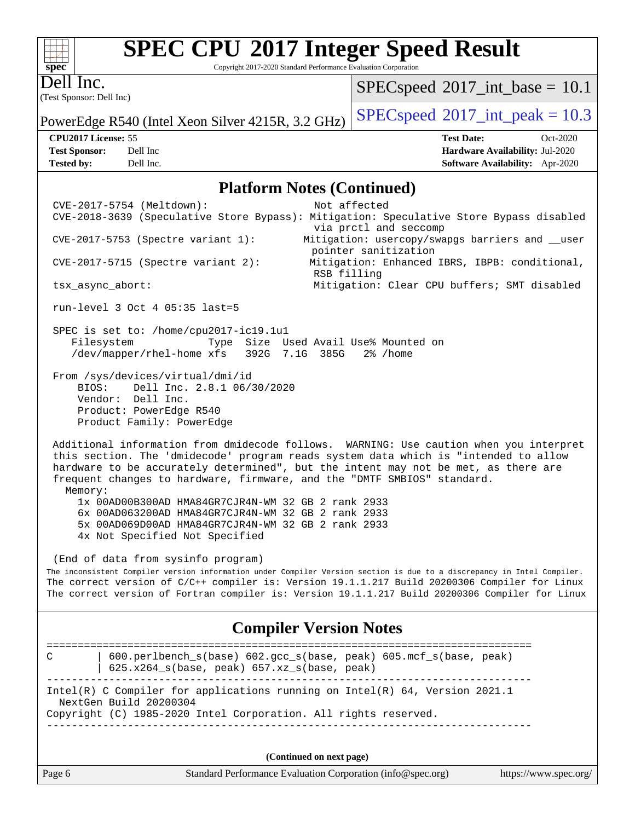Copyright 2017-2020 Standard Performance Evaluation Corporation

Dell Inc.

**[spec](http://www.spec.org/)**

 $+\,$ H

(Test Sponsor: Dell Inc)

 $SPECspeed^{\circ}2017\_int\_base = 10.1$  $SPECspeed^{\circ}2017\_int\_base = 10.1$ 

PowerEdge R540 (Intel Xeon Silver 4215R, 3.2 GHz) [SPECspeed](http://www.spec.org/auto/cpu2017/Docs/result-fields.html#SPECspeed2017intpeak)<sup>®</sup>[2017\\_int\\_peak = 1](http://www.spec.org/auto/cpu2017/Docs/result-fields.html#SPECspeed2017intpeak)0.3

**[CPU2017 License:](http://www.spec.org/auto/cpu2017/Docs/result-fields.html#CPU2017License)** 55 **[Test Date:](http://www.spec.org/auto/cpu2017/Docs/result-fields.html#TestDate)** Oct-2020 **[Test Sponsor:](http://www.spec.org/auto/cpu2017/Docs/result-fields.html#TestSponsor)** Dell Inc **[Hardware Availability:](http://www.spec.org/auto/cpu2017/Docs/result-fields.html#HardwareAvailability)** Jul-2020 **[Tested by:](http://www.spec.org/auto/cpu2017/Docs/result-fields.html#Testedby)** Dell Inc. **[Software Availability:](http://www.spec.org/auto/cpu2017/Docs/result-fields.html#SoftwareAvailability)** Apr-2020

#### **[Platform Notes \(Continued\)](http://www.spec.org/auto/cpu2017/Docs/result-fields.html#PlatformNotes)**

 CVE-2017-5754 (Meltdown): Not affected CVE-2018-3639 (Speculative Store Bypass): Mitigation: Speculative Store Bypass disabled via prctl and seccomp CVE-2017-5753 (Spectre variant 1): Mitigation: usercopy/swapgs barriers and \_\_user pointer sanitization CVE-2017-5715 (Spectre variant 2): Mitigation: Enhanced IBRS, IBPB: conditional, RSB filling tsx\_async\_abort: Mitigation: Clear CPU buffers; SMT disabled run-level 3 Oct 4 05:35 last=5 SPEC is set to: /home/cpu2017-ic19.1u1 Filesystem Type Size Used Avail Use% Mounted on /dev/mapper/rhel-home xfs 392G 7.1G 385G 2% /home From /sys/devices/virtual/dmi/id BIOS: Dell Inc. 2.8.1 06/30/2020 Vendor: Dell Inc. Product: PowerEdge R540 Product Family: PowerEdge Additional information from dmidecode follows. WARNING: Use caution when you interpret this section. The 'dmidecode' program reads system data which is "intended to allow hardware to be accurately determined", but the intent may not be met, as there are frequent changes to hardware, firmware, and the "DMTF SMBIOS" standard. Memory: 1x 00AD00B300AD HMA84GR7CJR4N-WM 32 GB 2 rank 2933 6x 00AD063200AD HMA84GR7CJR4N-WM 32 GB 2 rank 2933 5x 00AD069D00AD HMA84GR7CJR4N-WM 32 GB 2 rank 2933 4x Not Specified Not Specified (End of data from sysinfo program) The inconsistent Compiler version information under Compiler Version section is due to a discrepancy in Intel Compiler. The correct version of C/C++ compiler is: Version 19.1.1.217 Build 20200306 Compiler for Linux The correct version of Fortran compiler is: Version 19.1.1.217 Build 20200306 Compiler for Linux **[Compiler Version Notes](http://www.spec.org/auto/cpu2017/Docs/result-fields.html#CompilerVersionNotes)** ============================================================================== C | 600.perlbench\_s(base) 602.gcc\_s(base, peak) 605.mcf\_s(base, peak) | 625.x264\_s(base, peak) 657.xz\_s(base, peak) ------------------------------------------------------------------------------ Intel(R) C Compiler for applications running on Intel(R) 64, Version 2021.1 NextGen Build 20200304 Copyright (C) 1985-2020 Intel Corporation. All rights reserved. ------------------------------------------------------------------------------ **(Continued on next page)**

Page 6 Standard Performance Evaluation Corporation [\(info@spec.org\)](mailto:info@spec.org) <https://www.spec.org/>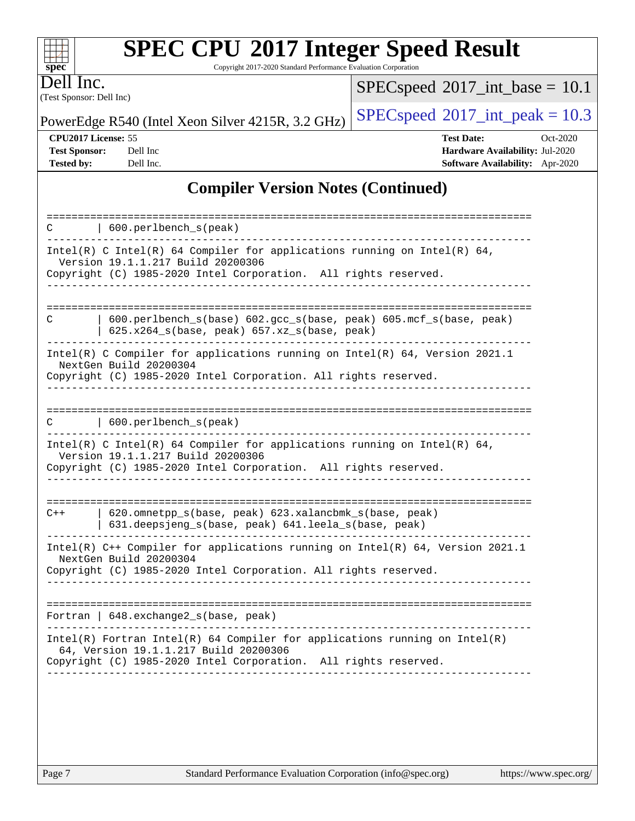| <b>SPEC CPU®2017 Integer Speed Result</b> |  |  |
|-------------------------------------------|--|--|
|-------------------------------------------|--|--|

Copyright 2017-2020 Standard Performance Evaluation Corporation

(Test Sponsor: Dell Inc) Dell Inc.

**[spec](http://www.spec.org/)**

 $+\!\!+\!\!$ 

 $SPECspeed*2017\_int\_base = 10.1$  $SPECspeed*2017\_int\_base = 10.1$ 

PowerEdge R540 (Intel Xeon Silver 4215R, 3.2 GHz) [SPECspeed](http://www.spec.org/auto/cpu2017/Docs/result-fields.html#SPECspeed2017intpeak)<sup>®</sup>[2017\\_int\\_peak = 1](http://www.spec.org/auto/cpu2017/Docs/result-fields.html#SPECspeed2017intpeak)0.3

**[CPU2017 License:](http://www.spec.org/auto/cpu2017/Docs/result-fields.html#CPU2017License)** 55 **[Test Date:](http://www.spec.org/auto/cpu2017/Docs/result-fields.html#TestDate)** Oct-2020 **[Test Sponsor:](http://www.spec.org/auto/cpu2017/Docs/result-fields.html#TestSponsor)** Dell Inc **[Hardware Availability:](http://www.spec.org/auto/cpu2017/Docs/result-fields.html#HardwareAvailability)** Jul-2020 **[Tested by:](http://www.spec.org/auto/cpu2017/Docs/result-fields.html#Testedby)** Dell Inc. **[Software Availability:](http://www.spec.org/auto/cpu2017/Docs/result-fields.html#SoftwareAvailability)** Apr-2020

## **[Compiler Version Notes \(Continued\)](http://www.spec.org/auto/cpu2017/Docs/result-fields.html#CompilerVersionNotes)**

| $600. perlbench_s(peak)$<br>C                                                                                                                                                            |
|------------------------------------------------------------------------------------------------------------------------------------------------------------------------------------------|
| Intel(R) C Intel(R) 64 Compiler for applications running on Intel(R) 64,<br>Version 19.1.1.217 Build 20200306<br>Copyright (C) 1985-2020 Intel Corporation. All rights reserved.         |
|                                                                                                                                                                                          |
| 600.perlbench_s(base) 602.gcc_s(base, peak) 605.mcf_s(base, peak)<br>С<br>625.x264_s(base, peak) 657.xz_s(base, peak)                                                                    |
| Intel(R) C Compiler for applications running on Intel(R) 64, Version 2021.1<br>NextGen Build 20200304<br>Copyright (C) 1985-2020 Intel Corporation. All rights reserved.                 |
|                                                                                                                                                                                          |
| $600. perlbench_s(peak)$<br>C                                                                                                                                                            |
| Intel(R) C Intel(R) 64 Compiler for applications running on Intel(R) 64,<br>Version 19.1.1.217 Build 20200306<br>Copyright (C) 1985-2020 Intel Corporation. All rights reserved.         |
|                                                                                                                                                                                          |
| 620.omnetpp_s(base, peak) 623.xalancbmk_s(base, peak)<br>$C++$<br>631.deepsjeng_s(base, peak) 641.leela_s(base, peak)                                                                    |
| Intel(R) C++ Compiler for applications running on Intel(R) 64, Version 2021.1<br>NextGen Build 20200304<br>Copyright (C) 1985-2020 Intel Corporation. All rights reserved.               |
| ----------------------------                                                                                                                                                             |
| Fortran   648. exchange2_s(base, peak)                                                                                                                                                   |
| $Intel(R)$ Fortran Intel(R) 64 Compiler for applications running on Intel(R)<br>64, Version 19.1.1.217 Build 20200306<br>Copyright (C) 1985-2020 Intel Corporation. All rights reserved. |
|                                                                                                                                                                                          |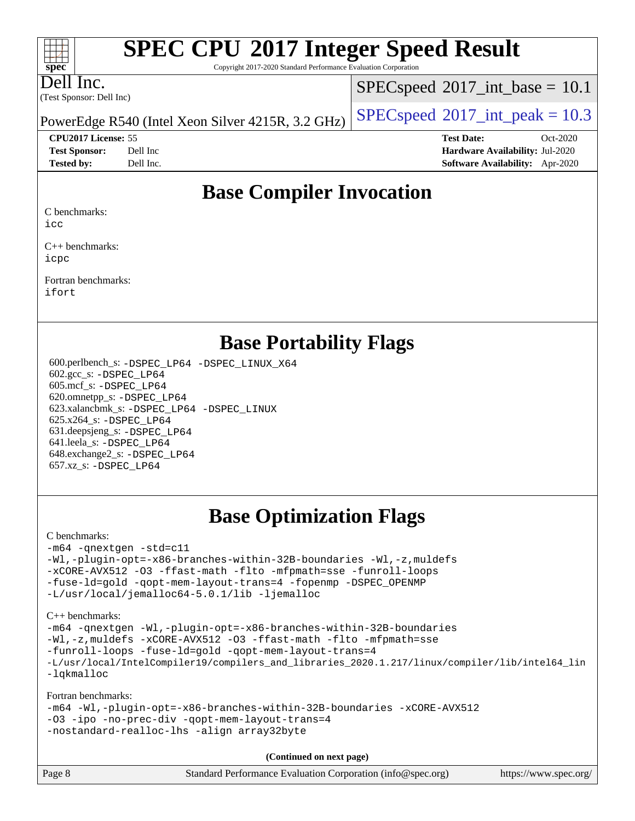Copyright 2017-2020 Standard Performance Evaluation Corporation

Dell Inc.

**[spec](http://www.spec.org/)**

 $+\ +$ 

(Test Sponsor: Dell Inc)

 $SPECspeed^{\circ}2017\_int\_base = 10.1$  $SPECspeed^{\circ}2017\_int\_base = 10.1$ 

PowerEdge R540 (Intel Xeon Silver 4215R, 3.2 GHz) [SPECspeed](http://www.spec.org/auto/cpu2017/Docs/result-fields.html#SPECspeed2017intpeak)<sup>®</sup>[2017\\_int\\_peak = 1](http://www.spec.org/auto/cpu2017/Docs/result-fields.html#SPECspeed2017intpeak)0.3

**[CPU2017 License:](http://www.spec.org/auto/cpu2017/Docs/result-fields.html#CPU2017License)** 55 **[Test Date:](http://www.spec.org/auto/cpu2017/Docs/result-fields.html#TestDate)** Oct-2020

**[Test Sponsor:](http://www.spec.org/auto/cpu2017/Docs/result-fields.html#TestSponsor)** Dell Inc **[Hardware Availability:](http://www.spec.org/auto/cpu2017/Docs/result-fields.html#HardwareAvailability)** Jul-2020 **[Tested by:](http://www.spec.org/auto/cpu2017/Docs/result-fields.html#Testedby)** Dell Inc. **[Software Availability:](http://www.spec.org/auto/cpu2017/Docs/result-fields.html#SoftwareAvailability)** Apr-2020

# **[Base Compiler Invocation](http://www.spec.org/auto/cpu2017/Docs/result-fields.html#BaseCompilerInvocation)**

[C benchmarks:](http://www.spec.org/auto/cpu2017/Docs/result-fields.html#Cbenchmarks)

[icc](http://www.spec.org/cpu2017/results/res2020q4/cpu2017-20201020-24225.flags.html#user_CCbase_intel_icc_66fc1ee009f7361af1fbd72ca7dcefbb700085f36577c54f309893dd4ec40d12360134090235512931783d35fd58c0460139e722d5067c5574d8eaf2b3e37e92)

[C++ benchmarks:](http://www.spec.org/auto/cpu2017/Docs/result-fields.html#CXXbenchmarks) [icpc](http://www.spec.org/cpu2017/results/res2020q4/cpu2017-20201020-24225.flags.html#user_CXXbase_intel_icpc_c510b6838c7f56d33e37e94d029a35b4a7bccf4766a728ee175e80a419847e808290a9b78be685c44ab727ea267ec2f070ec5dc83b407c0218cded6866a35d07)

[Fortran benchmarks](http://www.spec.org/auto/cpu2017/Docs/result-fields.html#Fortranbenchmarks): [ifort](http://www.spec.org/cpu2017/results/res2020q4/cpu2017-20201020-24225.flags.html#user_FCbase_intel_ifort_8111460550e3ca792625aed983ce982f94888b8b503583aa7ba2b8303487b4d8a21a13e7191a45c5fd58ff318f48f9492884d4413fa793fd88dd292cad7027ca)

## **[Base Portability Flags](http://www.spec.org/auto/cpu2017/Docs/result-fields.html#BasePortabilityFlags)**

 600.perlbench\_s: [-DSPEC\\_LP64](http://www.spec.org/cpu2017/results/res2020q4/cpu2017-20201020-24225.flags.html#b600.perlbench_s_basePORTABILITY_DSPEC_LP64) [-DSPEC\\_LINUX\\_X64](http://www.spec.org/cpu2017/results/res2020q4/cpu2017-20201020-24225.flags.html#b600.perlbench_s_baseCPORTABILITY_DSPEC_LINUX_X64) 602.gcc\_s: [-DSPEC\\_LP64](http://www.spec.org/cpu2017/results/res2020q4/cpu2017-20201020-24225.flags.html#suite_basePORTABILITY602_gcc_s_DSPEC_LP64) 605.mcf\_s: [-DSPEC\\_LP64](http://www.spec.org/cpu2017/results/res2020q4/cpu2017-20201020-24225.flags.html#suite_basePORTABILITY605_mcf_s_DSPEC_LP64) 620.omnetpp\_s: [-DSPEC\\_LP64](http://www.spec.org/cpu2017/results/res2020q4/cpu2017-20201020-24225.flags.html#suite_basePORTABILITY620_omnetpp_s_DSPEC_LP64) 623.xalancbmk\_s: [-DSPEC\\_LP64](http://www.spec.org/cpu2017/results/res2020q4/cpu2017-20201020-24225.flags.html#suite_basePORTABILITY623_xalancbmk_s_DSPEC_LP64) [-DSPEC\\_LINUX](http://www.spec.org/cpu2017/results/res2020q4/cpu2017-20201020-24225.flags.html#b623.xalancbmk_s_baseCXXPORTABILITY_DSPEC_LINUX) 625.x264\_s: [-DSPEC\\_LP64](http://www.spec.org/cpu2017/results/res2020q4/cpu2017-20201020-24225.flags.html#suite_basePORTABILITY625_x264_s_DSPEC_LP64) 631.deepsjeng\_s: [-DSPEC\\_LP64](http://www.spec.org/cpu2017/results/res2020q4/cpu2017-20201020-24225.flags.html#suite_basePORTABILITY631_deepsjeng_s_DSPEC_LP64) 641.leela\_s: [-DSPEC\\_LP64](http://www.spec.org/cpu2017/results/res2020q4/cpu2017-20201020-24225.flags.html#suite_basePORTABILITY641_leela_s_DSPEC_LP64) 648.exchange2\_s: [-DSPEC\\_LP64](http://www.spec.org/cpu2017/results/res2020q4/cpu2017-20201020-24225.flags.html#suite_basePORTABILITY648_exchange2_s_DSPEC_LP64) 657.xz\_s: [-DSPEC\\_LP64](http://www.spec.org/cpu2017/results/res2020q4/cpu2017-20201020-24225.flags.html#suite_basePORTABILITY657_xz_s_DSPEC_LP64)

# **[Base Optimization Flags](http://www.spec.org/auto/cpu2017/Docs/result-fields.html#BaseOptimizationFlags)**

#### [C benchmarks](http://www.spec.org/auto/cpu2017/Docs/result-fields.html#Cbenchmarks):

[-m64](http://www.spec.org/cpu2017/results/res2020q4/cpu2017-20201020-24225.flags.html#user_CCbase_m64-icc) [-qnextgen](http://www.spec.org/cpu2017/results/res2020q4/cpu2017-20201020-24225.flags.html#user_CCbase_f-qnextgen) [-std=c11](http://www.spec.org/cpu2017/results/res2020q4/cpu2017-20201020-24225.flags.html#user_CCbase_std-icc-std_0e1c27790398a4642dfca32ffe6c27b5796f9c2d2676156f2e42c9c44eaad0c049b1cdb667a270c34d979996257aeb8fc440bfb01818dbc9357bd9d174cb8524) [-Wl,-plugin-opt=-x86-branches-within-32B-boundaries](http://www.spec.org/cpu2017/results/res2020q4/cpu2017-20201020-24225.flags.html#user_CCbase_f-x86-branches-within-32B-boundaries_0098b4e4317ae60947b7b728078a624952a08ac37a3c797dfb4ffeb399e0c61a9dd0f2f44ce917e9361fb9076ccb15e7824594512dd315205382d84209e912f3) [-Wl,-z,muldefs](http://www.spec.org/cpu2017/results/res2020q4/cpu2017-20201020-24225.flags.html#user_CCbase_link_force_multiple1_b4cbdb97b34bdee9ceefcfe54f4c8ea74255f0b02a4b23e853cdb0e18eb4525ac79b5a88067c842dd0ee6996c24547a27a4b99331201badda8798ef8a743f577) [-xCORE-AVX512](http://www.spec.org/cpu2017/results/res2020q4/cpu2017-20201020-24225.flags.html#user_CCbase_f-xCORE-AVX512) [-O3](http://www.spec.org/cpu2017/results/res2020q4/cpu2017-20201020-24225.flags.html#user_CCbase_f-O3) [-ffast-math](http://www.spec.org/cpu2017/results/res2020q4/cpu2017-20201020-24225.flags.html#user_CCbase_f-ffast-math) [-flto](http://www.spec.org/cpu2017/results/res2020q4/cpu2017-20201020-24225.flags.html#user_CCbase_f-flto) [-mfpmath=sse](http://www.spec.org/cpu2017/results/res2020q4/cpu2017-20201020-24225.flags.html#user_CCbase_f-mfpmath_70eb8fac26bde974f8ab713bc9086c5621c0b8d2f6c86f38af0bd7062540daf19db5f3a066d8c6684be05d84c9b6322eb3b5be6619d967835195b93d6c02afa1) [-funroll-loops](http://www.spec.org/cpu2017/results/res2020q4/cpu2017-20201020-24225.flags.html#user_CCbase_f-funroll-loops) [-fuse-ld=gold](http://www.spec.org/cpu2017/results/res2020q4/cpu2017-20201020-24225.flags.html#user_CCbase_f-fuse-ld_920b3586e2b8c6e0748b9c84fa9b744736ba725a32cab14ad8f3d4ad28eecb2f59d1144823d2e17006539a88734fe1fc08fc3035f7676166309105a78aaabc32) [-qopt-mem-layout-trans=4](http://www.spec.org/cpu2017/results/res2020q4/cpu2017-20201020-24225.flags.html#user_CCbase_f-qopt-mem-layout-trans_fa39e755916c150a61361b7846f310bcdf6f04e385ef281cadf3647acec3f0ae266d1a1d22d972a7087a248fd4e6ca390a3634700869573d231a252c784941a8) [-fopenmp](http://www.spec.org/cpu2017/results/res2020q4/cpu2017-20201020-24225.flags.html#user_CCbase_fopenmp_5aa2e47ce4f2ef030ba5d12d5a7a9c4e57167333d78243fcadb80b48d5abb78ff19333f8478e0b2a41e63049eb285965c145ccab7b93db7d0c4d59e4dc6f5591) [-DSPEC\\_OPENMP](http://www.spec.org/cpu2017/results/res2020q4/cpu2017-20201020-24225.flags.html#suite_CCbase_DSPEC_OPENMP) [-L/usr/local/jemalloc64-5.0.1/lib](http://www.spec.org/cpu2017/results/res2020q4/cpu2017-20201020-24225.flags.html#user_CCbase_jemalloc_link_path64_1_cc289568b1a6c0fd3b62c91b824c27fcb5af5e8098e6ad028160d21144ef1b8aef3170d2acf0bee98a8da324cfe4f67d0a3d0c4cc4673d993d694dc2a0df248b) [-ljemalloc](http://www.spec.org/cpu2017/results/res2020q4/cpu2017-20201020-24225.flags.html#user_CCbase_jemalloc_link_lib_d1249b907c500fa1c0672f44f562e3d0f79738ae9e3c4a9c376d49f265a04b9c99b167ecedbf6711b3085be911c67ff61f150a17b3472be731631ba4d0471706)

[C++ benchmarks:](http://www.spec.org/auto/cpu2017/Docs/result-fields.html#CXXbenchmarks)

[-m64](http://www.spec.org/cpu2017/results/res2020q4/cpu2017-20201020-24225.flags.html#user_CXXbase_m64-icc) [-qnextgen](http://www.spec.org/cpu2017/results/res2020q4/cpu2017-20201020-24225.flags.html#user_CXXbase_f-qnextgen) [-Wl,-plugin-opt=-x86-branches-within-32B-boundaries](http://www.spec.org/cpu2017/results/res2020q4/cpu2017-20201020-24225.flags.html#user_CXXbase_f-x86-branches-within-32B-boundaries_0098b4e4317ae60947b7b728078a624952a08ac37a3c797dfb4ffeb399e0c61a9dd0f2f44ce917e9361fb9076ccb15e7824594512dd315205382d84209e912f3) [-Wl,-z,muldefs](http://www.spec.org/cpu2017/results/res2020q4/cpu2017-20201020-24225.flags.html#user_CXXbase_link_force_multiple1_b4cbdb97b34bdee9ceefcfe54f4c8ea74255f0b02a4b23e853cdb0e18eb4525ac79b5a88067c842dd0ee6996c24547a27a4b99331201badda8798ef8a743f577) [-xCORE-AVX512](http://www.spec.org/cpu2017/results/res2020q4/cpu2017-20201020-24225.flags.html#user_CXXbase_f-xCORE-AVX512) [-O3](http://www.spec.org/cpu2017/results/res2020q4/cpu2017-20201020-24225.flags.html#user_CXXbase_f-O3) [-ffast-math](http://www.spec.org/cpu2017/results/res2020q4/cpu2017-20201020-24225.flags.html#user_CXXbase_f-ffast-math) [-flto](http://www.spec.org/cpu2017/results/res2020q4/cpu2017-20201020-24225.flags.html#user_CXXbase_f-flto) [-mfpmath=sse](http://www.spec.org/cpu2017/results/res2020q4/cpu2017-20201020-24225.flags.html#user_CXXbase_f-mfpmath_70eb8fac26bde974f8ab713bc9086c5621c0b8d2f6c86f38af0bd7062540daf19db5f3a066d8c6684be05d84c9b6322eb3b5be6619d967835195b93d6c02afa1) [-funroll-loops](http://www.spec.org/cpu2017/results/res2020q4/cpu2017-20201020-24225.flags.html#user_CXXbase_f-funroll-loops) [-fuse-ld=gold](http://www.spec.org/cpu2017/results/res2020q4/cpu2017-20201020-24225.flags.html#user_CXXbase_f-fuse-ld_920b3586e2b8c6e0748b9c84fa9b744736ba725a32cab14ad8f3d4ad28eecb2f59d1144823d2e17006539a88734fe1fc08fc3035f7676166309105a78aaabc32) [-qopt-mem-layout-trans=4](http://www.spec.org/cpu2017/results/res2020q4/cpu2017-20201020-24225.flags.html#user_CXXbase_f-qopt-mem-layout-trans_fa39e755916c150a61361b7846f310bcdf6f04e385ef281cadf3647acec3f0ae266d1a1d22d972a7087a248fd4e6ca390a3634700869573d231a252c784941a8) [-L/usr/local/IntelCompiler19/compilers\\_and\\_libraries\\_2020.1.217/linux/compiler/lib/intel64\\_lin](http://www.spec.org/cpu2017/results/res2020q4/cpu2017-20201020-24225.flags.html#user_CXXbase_linkpath_2cb6f503891ebf8baee7515f4e7d4ec1217444d1d05903cc0091ac4158de400651d2b2313a9fa414cb8a8f0e16ab029634f5c6db340f400369c190d4db8a54a0) [-lqkmalloc](http://www.spec.org/cpu2017/results/res2020q4/cpu2017-20201020-24225.flags.html#user_CXXbase_qkmalloc_link_lib_79a818439969f771c6bc311cfd333c00fc099dad35c030f5aab9dda831713d2015205805422f83de8875488a2991c0a156aaa600e1f9138f8fc37004abc96dc5)

[Fortran benchmarks:](http://www.spec.org/auto/cpu2017/Docs/result-fields.html#Fortranbenchmarks)

| $-m64$ -Wl,-plugin-opt=-x86-branches-within-32B-boundaries -xCORE-AVX512 |  |
|--------------------------------------------------------------------------|--|
| $-03$ -ipo -no-prec-div -qopt-mem-layout-trans=4                         |  |
| -nostandard-realloc-lhs -align array32byte                               |  |

**(Continued on next page)**

| Standard Performance Evaluation Corporation (info@spec.org)<br>Page 8 | https://www.spec.org/ |
|-----------------------------------------------------------------------|-----------------------|
|-----------------------------------------------------------------------|-----------------------|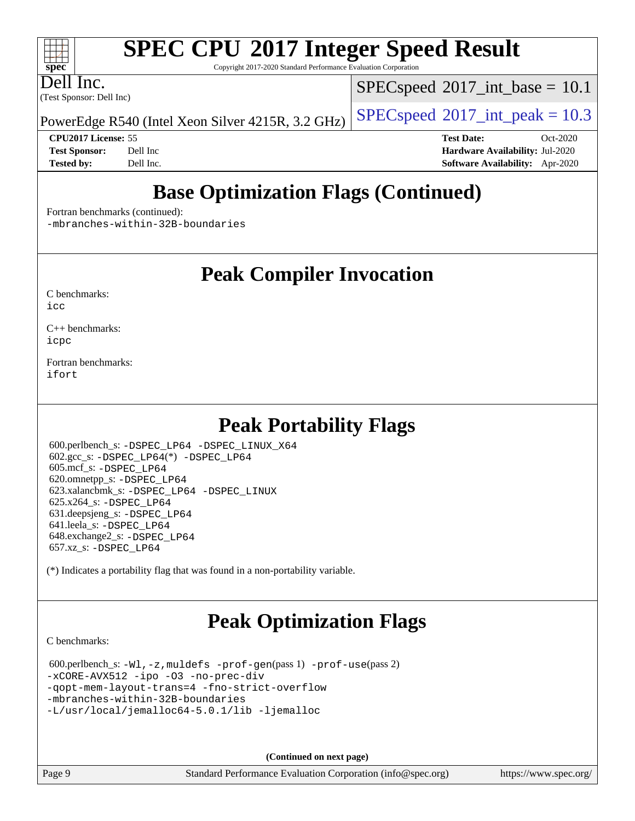Copyright 2017-2020 Standard Performance Evaluation Corporation

(Test Sponsor: Dell Inc) Dell Inc.

**[spec](http://www.spec.org/)**

 $\pm\pm\tau$ 

 $SPECspeed^{\circ}2017\_int\_base = 10.1$  $SPECspeed^{\circ}2017\_int\_base = 10.1$ 

PowerEdge R540 (Intel Xeon Silver 4215R, 3.2 GHz) [SPECspeed](http://www.spec.org/auto/cpu2017/Docs/result-fields.html#SPECspeed2017intpeak)<sup>®</sup>[2017\\_int\\_peak = 1](http://www.spec.org/auto/cpu2017/Docs/result-fields.html#SPECspeed2017intpeak)0.3

**[CPU2017 License:](http://www.spec.org/auto/cpu2017/Docs/result-fields.html#CPU2017License)** 55 **[Test Date:](http://www.spec.org/auto/cpu2017/Docs/result-fields.html#TestDate)** Oct-2020 **[Test Sponsor:](http://www.spec.org/auto/cpu2017/Docs/result-fields.html#TestSponsor)** Dell Inc **[Hardware Availability:](http://www.spec.org/auto/cpu2017/Docs/result-fields.html#HardwareAvailability)** Jul-2020 **[Tested by:](http://www.spec.org/auto/cpu2017/Docs/result-fields.html#Testedby)** Dell Inc. **[Software Availability:](http://www.spec.org/auto/cpu2017/Docs/result-fields.html#SoftwareAvailability)** Apr-2020

# **[Base Optimization Flags \(Continued\)](http://www.spec.org/auto/cpu2017/Docs/result-fields.html#BaseOptimizationFlags)**

[Fortran benchmarks](http://www.spec.org/auto/cpu2017/Docs/result-fields.html#Fortranbenchmarks) (continued):

[-mbranches-within-32B-boundaries](http://www.spec.org/cpu2017/results/res2020q4/cpu2017-20201020-24225.flags.html#user_FCbase_f-mbranches-within-32B-boundaries)

## **[Peak Compiler Invocation](http://www.spec.org/auto/cpu2017/Docs/result-fields.html#PeakCompilerInvocation)**

[C benchmarks](http://www.spec.org/auto/cpu2017/Docs/result-fields.html#Cbenchmarks):  $i$ cc

[C++ benchmarks:](http://www.spec.org/auto/cpu2017/Docs/result-fields.html#CXXbenchmarks) [icpc](http://www.spec.org/cpu2017/results/res2020q4/cpu2017-20201020-24225.flags.html#user_CXXpeak_intel_icpc_c510b6838c7f56d33e37e94d029a35b4a7bccf4766a728ee175e80a419847e808290a9b78be685c44ab727ea267ec2f070ec5dc83b407c0218cded6866a35d07)

[Fortran benchmarks](http://www.spec.org/auto/cpu2017/Docs/result-fields.html#Fortranbenchmarks): [ifort](http://www.spec.org/cpu2017/results/res2020q4/cpu2017-20201020-24225.flags.html#user_FCpeak_intel_ifort_8111460550e3ca792625aed983ce982f94888b8b503583aa7ba2b8303487b4d8a21a13e7191a45c5fd58ff318f48f9492884d4413fa793fd88dd292cad7027ca)

# **[Peak Portability Flags](http://www.spec.org/auto/cpu2017/Docs/result-fields.html#PeakPortabilityFlags)**

 600.perlbench\_s: [-DSPEC\\_LP64](http://www.spec.org/cpu2017/results/res2020q4/cpu2017-20201020-24225.flags.html#b600.perlbench_s_peakPORTABILITY_DSPEC_LP64) [-DSPEC\\_LINUX\\_X64](http://www.spec.org/cpu2017/results/res2020q4/cpu2017-20201020-24225.flags.html#b600.perlbench_s_peakCPORTABILITY_DSPEC_LINUX_X64) 602.gcc\_s: [-DSPEC\\_LP64](http://www.spec.org/cpu2017/results/res2020q4/cpu2017-20201020-24225.flags.html#suite_peakCCLD602_gcc_s_DSPEC_LP64)(\*) [-DSPEC\\_LP64](http://www.spec.org/cpu2017/results/res2020q4/cpu2017-20201020-24225.flags.html#suite_peakPORTABILITY602_gcc_s_DSPEC_LP64) 605.mcf\_s: [-DSPEC\\_LP64](http://www.spec.org/cpu2017/results/res2020q4/cpu2017-20201020-24225.flags.html#suite_peakPORTABILITY605_mcf_s_DSPEC_LP64) 620.omnetpp\_s: [-DSPEC\\_LP64](http://www.spec.org/cpu2017/results/res2020q4/cpu2017-20201020-24225.flags.html#suite_peakPORTABILITY620_omnetpp_s_DSPEC_LP64) 623.xalancbmk\_s: [-DSPEC\\_LP64](http://www.spec.org/cpu2017/results/res2020q4/cpu2017-20201020-24225.flags.html#suite_peakPORTABILITY623_xalancbmk_s_DSPEC_LP64) [-DSPEC\\_LINUX](http://www.spec.org/cpu2017/results/res2020q4/cpu2017-20201020-24225.flags.html#b623.xalancbmk_s_peakCXXPORTABILITY_DSPEC_LINUX) 625.x264\_s: [-DSPEC\\_LP64](http://www.spec.org/cpu2017/results/res2020q4/cpu2017-20201020-24225.flags.html#suite_peakPORTABILITY625_x264_s_DSPEC_LP64) 631.deepsjeng\_s: [-DSPEC\\_LP64](http://www.spec.org/cpu2017/results/res2020q4/cpu2017-20201020-24225.flags.html#suite_peakPORTABILITY631_deepsjeng_s_DSPEC_LP64) 641.leela\_s: [-DSPEC\\_LP64](http://www.spec.org/cpu2017/results/res2020q4/cpu2017-20201020-24225.flags.html#suite_peakPORTABILITY641_leela_s_DSPEC_LP64) 648.exchange2\_s: [-DSPEC\\_LP64](http://www.spec.org/cpu2017/results/res2020q4/cpu2017-20201020-24225.flags.html#suite_peakPORTABILITY648_exchange2_s_DSPEC_LP64) 657.xz\_s: [-DSPEC\\_LP64](http://www.spec.org/cpu2017/results/res2020q4/cpu2017-20201020-24225.flags.html#suite_peakPORTABILITY657_xz_s_DSPEC_LP64)

(\*) Indicates a portability flag that was found in a non-portability variable.

# **[Peak Optimization Flags](http://www.spec.org/auto/cpu2017/Docs/result-fields.html#PeakOptimizationFlags)**

[C benchmarks](http://www.spec.org/auto/cpu2017/Docs/result-fields.html#Cbenchmarks):

 600.perlbench\_s: [-Wl,-z,muldefs](http://www.spec.org/cpu2017/results/res2020q4/cpu2017-20201020-24225.flags.html#user_peakEXTRA_LDFLAGS600_perlbench_s_link_force_multiple1_b4cbdb97b34bdee9ceefcfe54f4c8ea74255f0b02a4b23e853cdb0e18eb4525ac79b5a88067c842dd0ee6996c24547a27a4b99331201badda8798ef8a743f577) [-prof-gen](http://www.spec.org/cpu2017/results/res2020q4/cpu2017-20201020-24225.flags.html#user_peakPASS1_CFLAGSPASS1_LDFLAGS600_perlbench_s_prof_gen_5aa4926d6013ddb2a31985c654b3eb18169fc0c6952a63635c234f711e6e63dd76e94ad52365559451ec499a2cdb89e4dc58ba4c67ef54ca681ffbe1461d6b36)(pass 1) [-prof-use](http://www.spec.org/cpu2017/results/res2020q4/cpu2017-20201020-24225.flags.html#user_peakPASS2_CFLAGSPASS2_LDFLAGS600_perlbench_s_prof_use_1a21ceae95f36a2b53c25747139a6c16ca95bd9def2a207b4f0849963b97e94f5260e30a0c64f4bb623698870e679ca08317ef8150905d41bd88c6f78df73f19)(pass 2) [-xCORE-AVX512](http://www.spec.org/cpu2017/results/res2020q4/cpu2017-20201020-24225.flags.html#user_peakCOPTIMIZE600_perlbench_s_f-xCORE-AVX512) [-ipo](http://www.spec.org/cpu2017/results/res2020q4/cpu2017-20201020-24225.flags.html#user_peakCOPTIMIZE600_perlbench_s_f-ipo) [-O3](http://www.spec.org/cpu2017/results/res2020q4/cpu2017-20201020-24225.flags.html#user_peakCOPTIMIZE600_perlbench_s_f-O3) [-no-prec-div](http://www.spec.org/cpu2017/results/res2020q4/cpu2017-20201020-24225.flags.html#user_peakCOPTIMIZE600_perlbench_s_f-no-prec-div) [-qopt-mem-layout-trans=4](http://www.spec.org/cpu2017/results/res2020q4/cpu2017-20201020-24225.flags.html#user_peakCOPTIMIZE600_perlbench_s_f-qopt-mem-layout-trans_fa39e755916c150a61361b7846f310bcdf6f04e385ef281cadf3647acec3f0ae266d1a1d22d972a7087a248fd4e6ca390a3634700869573d231a252c784941a8) [-fno-strict-overflow](http://www.spec.org/cpu2017/results/res2020q4/cpu2017-20201020-24225.flags.html#user_peakEXTRA_OPTIMIZE600_perlbench_s_f-fno-strict-overflow) [-mbranches-within-32B-boundaries](http://www.spec.org/cpu2017/results/res2020q4/cpu2017-20201020-24225.flags.html#user_peakEXTRA_COPTIMIZE600_perlbench_s_f-mbranches-within-32B-boundaries) [-L/usr/local/jemalloc64-5.0.1/lib](http://www.spec.org/cpu2017/results/res2020q4/cpu2017-20201020-24225.flags.html#user_peakEXTRA_LIBS600_perlbench_s_jemalloc_link_path64_1_cc289568b1a6c0fd3b62c91b824c27fcb5af5e8098e6ad028160d21144ef1b8aef3170d2acf0bee98a8da324cfe4f67d0a3d0c4cc4673d993d694dc2a0df248b) [-ljemalloc](http://www.spec.org/cpu2017/results/res2020q4/cpu2017-20201020-24225.flags.html#user_peakEXTRA_LIBS600_perlbench_s_jemalloc_link_lib_d1249b907c500fa1c0672f44f562e3d0f79738ae9e3c4a9c376d49f265a04b9c99b167ecedbf6711b3085be911c67ff61f150a17b3472be731631ba4d0471706)

**(Continued on next page)**

Page 9 Standard Performance Evaluation Corporation [\(info@spec.org\)](mailto:info@spec.org) <https://www.spec.org/>